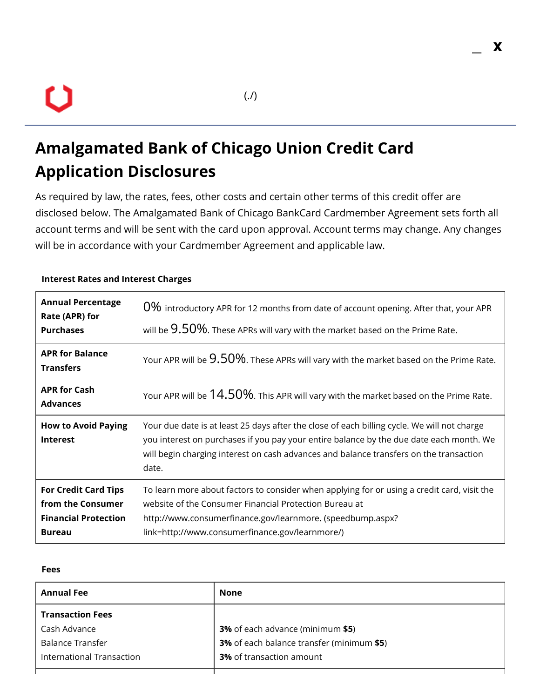# U

# **Amalgamated Bank of Chicago Union Credit Card Application Disclosures**

As required by law, the rates, fees, other costs and certain other terms of this credit offer are disclosed below. The Amalgamated Bank of Chicago BankCard Cardmember Agreement sets forth all account terms and will be sent with the card upon approval. Account terms may change. Any changes will be in accordance with your Cardmember Agreement and applicable law.

| <b>Annual Percentage</b><br>Rate (APR) for<br><b>Purchases</b>                                   | 0% introductory APR for 12 months from date of account opening. After that, your APR<br>will be $9.50\%$ . These APRs will vary with the market based on the Prime Rate.                                                                                                                  |  |
|--------------------------------------------------------------------------------------------------|-------------------------------------------------------------------------------------------------------------------------------------------------------------------------------------------------------------------------------------------------------------------------------------------|--|
| <b>APR for Balance</b><br><b>Transfers</b>                                                       | Your APR will be $9.50\%$ . These APRs will vary with the market based on the Prime Rate.                                                                                                                                                                                                 |  |
| <b>APR for Cash</b><br><b>Advances</b>                                                           | Your APR will be $14.50\%$ . This APR will vary with the market based on the Prime Rate.                                                                                                                                                                                                  |  |
| <b>How to Avoid Paying</b><br><b>Interest</b>                                                    | Your due date is at least 25 days after the close of each billing cycle. We will not charge<br>you interest on purchases if you pay your entire balance by the due date each month. We<br>will begin charging interest on cash advances and balance transfers on the transaction<br>date. |  |
| <b>For Credit Card Tips</b><br>from the Consumer<br><b>Financial Protection</b><br><b>Bureau</b> | To learn more about factors to consider when applying for or using a credit card, visit the<br>website of the Consumer Financial Protection Bureau at<br>http://www.consumerfinance.gov/learnmore. (speedbump.aspx?<br>link=http://www.consumerfinance.gov/learnmore/)                    |  |

#### **Interest Rates and Interest Charges**

#### **Fees**

| <b>Annual Fee</b>         | <b>None</b>                               |
|---------------------------|-------------------------------------------|
| <b>Transaction Fees</b>   |                                           |
| Cash Advance              | <b>3%</b> of each advance (minimum \$5)   |
| <b>Balance Transfer</b>   | 3% of each balance transfer (minimum \$5) |
| International Transaction | <b>3%</b> of transaction amount           |
|                           |                                           |

**\_ x**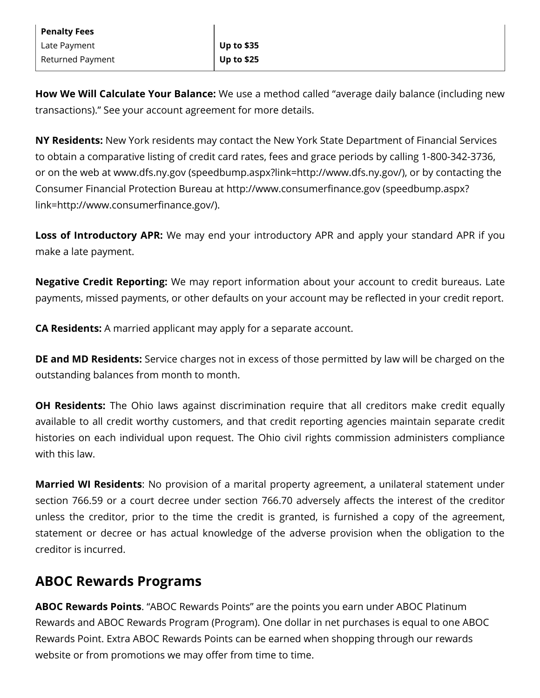| <b>Penalty Fees</b> |                   |
|---------------------|-------------------|
| Late Payment        | Up to \$35        |
| Returned Payment    | <b>Up to \$25</b> |

**How We Will Calculate Your Balance:** We use a method called "average daily balance (including new transactions)." See your account agreement for more details.

**NY Residents:** New York residents may contact the New York State Department of Financial Services to obtain a comparative listing of credit card rates, fees and grace periods by calling 1-800-342-3736, or on the web at www.dfs.ny.gov [\(speedbump.aspx?link=http://www.dfs.ny.gov/\)](https://www.aboc.com/speedbump.aspx?link=http://www.dfs.ny.gov/), or by contacting the Consumer Financial Protection Bureau at http://www.consumerfinance.gov (speedbump.aspx? link=http://www.consumerfinance.gov/).

**Loss of Introductory APR:** We may end your introductory APR and apply your standard APR if you make a late payment.

**Negative Credit Reporting:** We may report information about your account to credit bureaus. Late payments, missed payments, or other defaults on your account may be reflected in your credit report.

**CA Residents:** A married applicant may apply for a separate account.

**DE and MD Residents:** Service charges not in excess of those permitted by law will be charged on the outstanding balances from month to month.

**OH Residents:** The Ohio laws against discrimination require that all creditors make credit equally available to all credit worthy customers, and that credit reporting agencies maintain separate credit histories on each individual upon request. The Ohio civil rights commission administers compliance with this law.

**Married WI Residents**: No provision of a marital property agreement, a unilateral statement under section 766.59 or a court decree under section 766.70 adversely affects the interest of the creditor unless the creditor, prior to the time the credit is granted, is furnished a copy of the agreement, statement or decree or has actual knowledge of the adverse provision when the obligation to the creditor is incurred.

## **ABOC Rewards Programs**

**ABOC Rewards Points**. "ABOC Rewards Points" are the points you earn under ABOC Platinum Rewards and ABOC Rewards Program (Program). One dollar in net purchases is equal to one ABOC Rewards Point. Extra ABOC Rewards Points can be earned when shopping through our rewards website or from promotions we may offer from time to time.